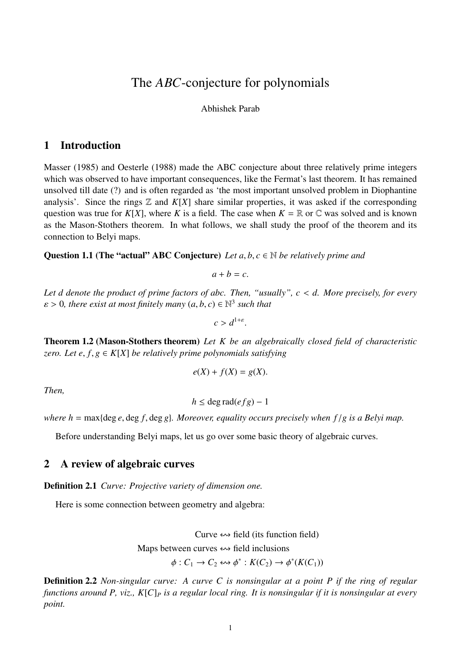# The *ABC*-conjecture for polynomials

#### Abhishek Parab

# 1 Introduction

Masser (1985) and Oesterle (1988) made the ABC conjecture about three relatively prime integers which was observed to have important consequences, like the Fermat's last theorem. It has remained unsolved till date (?) and is often regarded as 'the most important unsolved problem in Diophantine analysis'. Since the rings  $\mathbb Z$  and  $K[X]$  share similar properties, it was asked if the corresponding question was true for  $K[X]$ , where K is a field. The case when  $K = \mathbb{R}$  or  $\mathbb{C}$  was solved and is known as the Mason-Stothers theorem. In what follows, we shall study the proof of the theorem and its connection to Belyi maps.

**Question 1.1 (The "actual" ABC Conjecture)** Let  $a, b, c \in \mathbb{N}$  be relatively prime and

$$
a+b=c.
$$

Let d denote the product of prime factors of abc. Then, "usually",  $c < d$ . More precisely, for every  $\varepsilon > 0$ , there exist at most finitely many  $(a, b, c) \in \mathbb{N}^3$  such that

$$
c > d^{1+\varepsilon}.
$$

Theorem 1.2 (Mason-Stothers theorem) *Let K be an algebraically closed field of characteristic zero. Let e, f, g*  $\in K[X]$  *be relatively prime polynomials satisfying* 

$$
e(X) + f(X) = g(X).
$$

*Then,*

$$
h \leq \deg \operatorname{rad}(efg) - 1
$$

*where h* = max{deg *e*, deg *f*, deg *g*}*. Moreover, equality occurs precisely when f* /*g is a Belyi map.*

Before understanding Belyi maps, let us go over some basic theory of algebraic curves.

## 2 A review of algebraic curves

Definition 2.1 *Curve: Projective variety of dimension one.*

Here is some connection between geometry and algebra:

Curve  $\leftrightarrow$  field (its function field) Maps between curves  $\leftrightarrow$  field inclusions

$$
\phi: C_1 \to C_2 \leftrightarrow \phi^*: K(C_2) \to \phi^*(K(C_1))
$$

Definition 2.2 *Non-singular curve: A curve C is nonsingular at a point P if the ring of regular functions around P, viz., K*[*C*]<sub>*P*</sub> *is a regular local ring. It is nonsingular if it is nonsingular at every point.*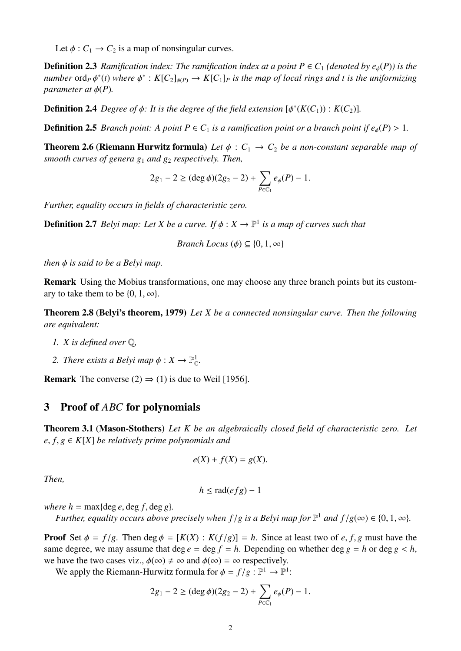Let  $\phi$  :  $C_1 \rightarrow C_2$  is a map of nonsingular curves.

**Definition 2.3** *Ramification index: The ramification index at a point*  $P \in C_1$  *(denoted by e<sub>6</sub>(P)) is the*  $n$ umber ord<sub>P</sub>  $\phi^*(t)$  where  $\phi^*: K[C_2]_{\phi(P)} \to K[C_1]_P$  is the map of local rings and t is the uniformizing *parameter at*  $\phi(P)$ .

**Definition 2.4** Degree of  $\phi$ : It is the degree of the field extension  $[\phi^*(K(C_1)) : K(C_2)]$ .

**Definition 2.5** *Branch point:* A *point*  $P \in C_1$  *is a ramification point or a branch point if*  $e_{\phi}(P) > 1$ *.* 

**Theorem 2.6 (Riemann Hurwitz formula)** Let  $\phi : C_1 \rightarrow C_2$  be a non-constant separable map of *smooth curves of genera g<sub>1</sub> and g<sub>2</sub> respectively. Then,* 

$$
2g_1 - 2 \geq (\deg \phi)(2g_2 - 2) + \sum_{P \in C_1} e_{\phi}(P) - 1.
$$

*Further, equality occurs in fields of characteristic zero.*

**Definition 2.7** *Belyi map: Let X be a curve. If*  $\phi$  :  $X \to \mathbb{P}^1$  *is a map of curves such that* 

*Branch Locus* ( $\phi$ )  $\subset$  {0, 1,  $\infty$ }

*then is said to be a Belyi map.*

Remark Using the Mobius transformations, one may choose any three branch points but its customary to take them to be  $\{0, 1, \infty\}.$ 

Theorem 2.8 (Belyi's theorem, 1979) *Let X be a connected nonsingular curve. Then the following are equivalent:*

- *1. X* is defined over  $\overline{Q}$ *,*
- 2. There exists a Belyi map  $\phi: X \to \mathbb{P}_{\mathbb{C}}^1$ .

**Remark** The converse (2)  $\Rightarrow$  (1) is due to Weil [1956].

### 3 Proof of *ABC* for polynomials

Theorem 3.1 (Mason-Stothers) *Let K be an algebraically closed field of characteristic zero. Let*  $e, f, g \in K[X]$  *be relatively prime polynomials and* 

$$
e(X) + f(X) = g(X).
$$

*Then,*

 $h \leq$  rad(*efg*) – 1

*where h* = max{deg *e*, deg *f*, deg *g*}.

*Further, equality occurs above precisely when*  $f/g$  *is a Belyi map for*  $\mathbb{P}^1$  *and*  $f/g(\infty) \in \{0, 1, \infty\}$ *.* 

**Proof** Set  $\phi = f/g$ . Then  $\deg \phi = [K(X) : K(f/g)] = h$ . Since at least two of *e*, *f*, *g* must have the same degree, we may assume that deg  $e = \deg f = h$ . Depending on whether  $\deg g = h$  or  $\deg g < h$ , we have the two cases viz.,  $\phi(\infty) \neq \infty$  and  $\phi(\infty) = \infty$  respectively.

We apply the Riemann-Hurwitz formula for  $\phi = f/g : \mathbb{P}^1 \to \mathbb{P}^1$ :

$$
2g_1 - 2 \geq (\deg \phi)(2g_2 - 2) + \sum_{P \in \mathbb{C}_1} e_{\phi}(P) - 1.
$$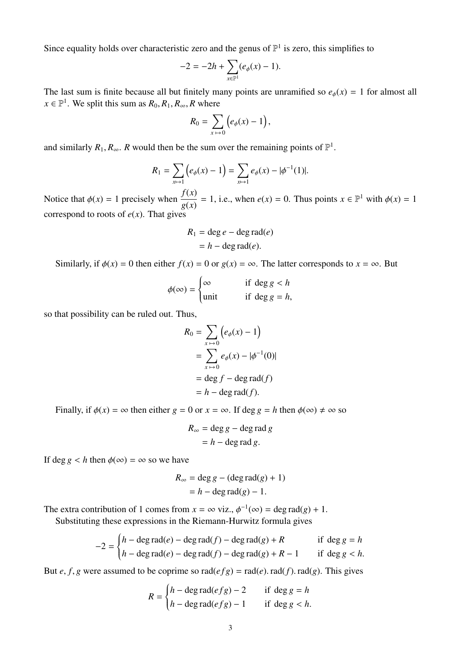Since equality holds over characteristic zero and the genus of  $\mathbb{P}^1$  is zero, this simplifies to

$$
-2 = -2h + \sum_{x \in \mathbb{P}^1} (e_{\phi}(x) - 1).
$$

The last sum is finite because all but finitely many points are unramified so  $e_{\phi}(x) = 1$  for almost all  $x \in \mathbb{P}^1$ . We split this sum as  $R_0, R_1, R_\infty, R$  where

$$
R_0 = \sum_{x \mapsto 0} \left( e_{\phi}(x) - 1 \right),
$$

and similarly  $R_1, R_\infty$ . *R* would then be the sum over the remaining points of  $\mathbb{P}^1$ .

$$
R_1 = \sum_{x \mapsto 1} \left( e_{\phi}(x) - 1 \right) = \sum_{x \mapsto 1} e_{\phi}(x) - |\phi^{-1}(1)|.
$$

Notice that  $\phi(x) = 1$  precisely when  $\frac{f(x)}{g(x)} = 1$ , i.e., when  $e(x) = 0$ . Thus points  $x \in \mathbb{P}^1$  with  $\phi(x) = 1$ correspond to roots of  $e(x)$ . That gives

$$
R_1 = \deg e - \deg \operatorname{rad}(e)
$$

$$
= h - \deg \operatorname{rad}(e).
$$

Similarly, if  $\phi(x) = 0$  then either  $f(x) = 0$  or  $g(x) = \infty$ . The latter corresponds to  $x = \infty$ . But

$$
\phi(\infty) = \begin{cases} \infty & \text{if } \deg g < h \\ \text{unit} & \text{if } \deg g = h, \end{cases}
$$

so that possibility can be ruled out. Thus,

$$
R_0 = \sum_{x \mapsto 0} \left( e_{\phi}(x) - 1 \right)
$$
  
= 
$$
\sum_{x \mapsto 0} e_{\phi}(x) - |\phi^{-1}(0)|
$$
  
= 
$$
\deg f - \deg \text{rad}(f)
$$
  
= 
$$
h - \deg \text{rad}(f).
$$

Finally, if  $\phi(x) = \infty$  then either  $g = 0$  or  $x = \infty$ . If deg  $g = h$  then  $\phi(\infty) \neq \infty$  so

$$
R_{\infty} = \deg g - \deg \operatorname{rad} g
$$

$$
= h - \deg \operatorname{rad} g.
$$

If deg  $g < h$  then  $\phi(\infty) = \infty$  so we have

$$
R_{\infty} = \deg g - (\deg \operatorname{rad}(g) + 1)
$$

$$
= h - \deg \operatorname{rad}(g) - 1.
$$

The extra contribution of 1 comes from  $x = \infty$  viz.,  $\phi^{-1}(\infty) = \deg \text{rad}(g) + 1$ .

Substituting these expressions in the Riemann-Hurwitz formula gives

$$
-2 = \begin{cases} h - \deg \operatorname{rad}(e) - \deg \operatorname{rad}(f) - \deg \operatorname{rad}(g) + R & \text{if } \deg g = h \\ h - \deg \operatorname{rad}(e) - \deg \operatorname{rad}(f) - \deg \operatorname{rad}(g) + R - 1 & \text{if } \deg g < h. \end{cases}
$$

But *e*, *f*, *g* were assumed to be coprime so  $rad(efg) = rad(e)$ .  $rad(f)$ .  $rad(g)$ . This gives

$$
R = \begin{cases} h - \deg \operatorname{rad}(efg) - 2 & \text{if } \deg g = h \\ h - \deg \operatorname{rad}(efg) - 1 & \text{if } \deg g < h. \end{cases}
$$